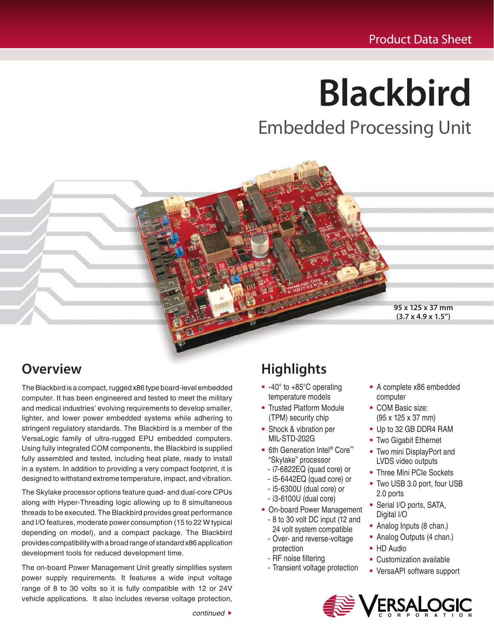# **Blackbird**

Embedded Processing Unit

**95 x 125 x 37 mm (3.7 x 4.9 x 1.5")**

## **Overview**

The Blackbird is a compact, rugged x86 type board-level embedded computer. It has been engineered and tested to meet the military and medical industries' evolving requirements to develop smaller, lighter, and lower power embedded systems while adhering to stringent regulatory standards. The Blackbird is a member of the VersaLogic family of ultra-rugged EPU embedded computers. Using fully integrated COM components, the Blackbird is supplied fully assembled and tested, including heat plate, ready to install in a system. In addition to providing a very compact footprint, it is designed to withstand extreme temperature, impact, and vibration.

The Skylake processor options feature quad- and dual-core CPUs along with Hyper-Threading logic allowing up to 8 simultaneous threads to be executed. The Blackbird provides great performance and I/O features, moderate power consumption (15 to 22 W typical depending on model), and a compact package. The Blackbird provides compatibility with a broad range of standard x86 application development tools for reduced development time.

The on-board Power Management Unit greatly simplifies system power supply requirements. It features a wide input voltage range of 8 to 30 volts so it is fully compatible with 12 or 24V vehicle applications. It also includes reverse voltage protection,

# **Highlights**

- $-40^\circ$  to  $+85^\circ$ C operating temperature models
- **Trusted Platform Module** (TPM) security chip
- **Shock & vibration per** MIL-STD-202G
- 6th Generation Intel<sup>®</sup> Core™ "Skylake" processor
	- i7-6822EQ (quad core) or
	- i5-6442EQ (quad core) or
	- i5-6300U (dual core) or
	- i3-6100U (dual core)
- On-board Power Management - 8 to 30 volt DC input (12 and
	- 24 volt system compatible - Over- and reverse-voltage
	- protection - RF noise filtering
	- Transient voltage protection
- A complete x86 embedded computer
- COM Basic size: (95 x 125 x 37 mm)
- Up to 32 GB DDR4 RAM
- Two Gigabit Ethernet
- **Two mini DisplayPort and** LVDS video outputs
- **Three Mini PCIe Sockets**
- Two USB 3.0 port, four USB 2.0 ports
- **Serial I/O ports, SATA,** Digital I/O
- Analog Inputs (8 chan.)
- Analog Outputs (4 chan.)
- **HD** Audio
- **-** Customization available
- VersaAPI software support

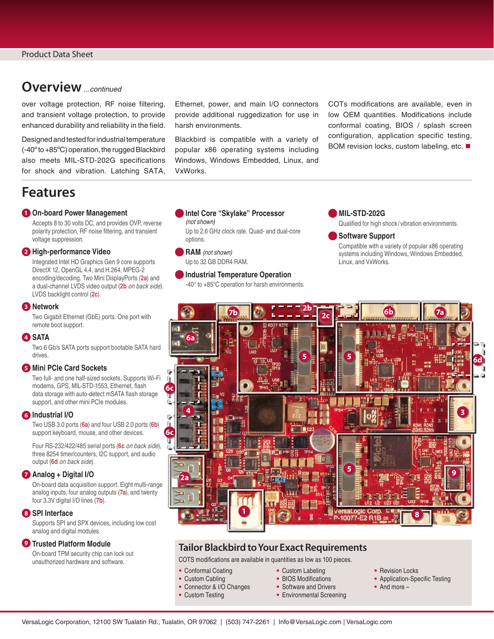## **Overview** ...continued

over voltage protection, RF noise filtering, and transient voltage protection, to provide enhanced durability and reliability in the field.

Designed and tested for industrial temperature (-40º to +85ºC) operation, the rugged Blackbird also meets MIL-STD-202G specifications for shock and vibration. Latching SATA,

## **Features**

#### **1 On-board Power Management**

Accepts 8 to 30 volts DC, and provides OVP, reverse polarity protection, RF noise filtering, and transient voltage suppression.

#### **2 High-performance Video**

Integrated Intel HD Graphics Gen 9 core supports DirectX 12, OpenGL 4.4, and H.264, MPEG-2 encoding/decoding. Two Mini DisplayPorts (**2a**) and a dual-channel LVDS video output (**2b** on back side). LVDS backlight control (**2c**).

#### **3 Network**

Two Gigabit Ethernet (GbE) ports. One port with remote boot support.

#### **4 SATA**

Two 6 Gb/s SATA ports support bootable SATA hard drives.

#### **5 Mini PCIe Card Sockets**

Two full- and one half-sized sockets. Supports Wi-Fi modems, GPS, MIL-STD-1553, Ethernet, flash data storage with auto-detect mSATA flash storage support, and other mini PCIe modules.

#### **6 Industrial I/O**

Two USB 3.0 ports (**6a**) and four USB 2.0 ports (**6b**) support keyboard, mouse, and other devices.

Four RS-232/422/485 serial ports (**6c** on back side), three 8254 timer/counters, I2C support, and audio output (**6d** on back side).

#### **7 Analog + Digital I/O**

On-board data acquisition support. Eight multi-range analog inputs, four analog outputs (**7a**), and twenty four 3.3V digital I/O lines (**7b**).

#### **8 SPI Interface**

Supports SPI and SPX devices, including low cost analog and digital modules.

#### **9 Trusted Platform Module**

On-board TPM security chip can lock out unauthorized hardware and software.

Ethernet, power, and main I/O connectors provide additional ruggedization for use in harsh environments.

Blackbird is compatible with a variety of popular x86 operating systems including Windows, Windows Embedded, Linux, and VxWorks.

COTs modifications are available, even in low OEM quantities. Modifications include conformal coating, BIOS / splash screen configuration, application specific testing, BOM revision locks, custom labeling, etc. ■

#### **Intel Core "Skylake" Processor**  (not shown)

Up to 2.6 GHz clock rate. Quad- and dual-core options.

**RAM** (not shown) Up to 32 GB DDR4 RAM.

#### **Industrial Temperature Operation**

-40° to +85°C operation for harsh environments.

#### **MIL-STD-202G**

Qualified for high shock / vibration environments.

#### **Software Support**

Compatible with a variety of popular x86 operating systems including Windows, Windows Embedded, Linux, and VxWorks.



#### **Tailor Blackbird to Your Exact Requirements**

COTS modifications are available in quantities as low as 100 pieces.

- Conformal Coating
- **Custom Cabling**
- Connector & I/O Changes
- **Custom Testing**
- Custom Labeling
- **BIOS Modifications**
- **Software and Drivers**
- **Environmental Screening**
- **Revision Locks**
- **Application-Specific Testing**
- And more –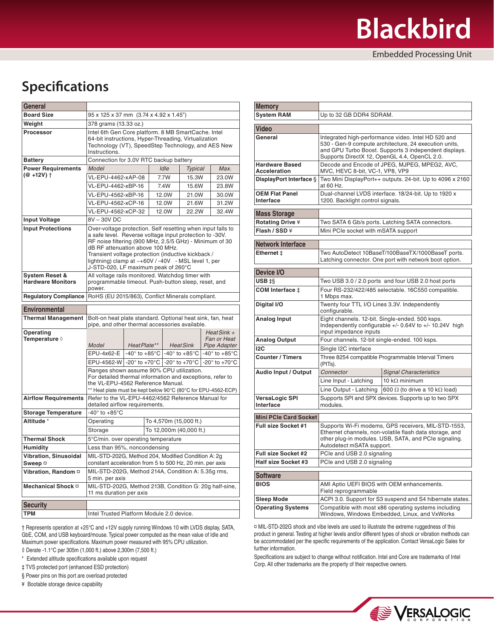## **Specifications**

| General                                    |                                                                                                                                                                                                                                                                                                                                                                           |                    |                |                         |                                                                       |       |                                            |  |
|--------------------------------------------|---------------------------------------------------------------------------------------------------------------------------------------------------------------------------------------------------------------------------------------------------------------------------------------------------------------------------------------------------------------------------|--------------------|----------------|-------------------------|-----------------------------------------------------------------------|-------|--------------------------------------------|--|
| <b>Board Size</b>                          | 95 x 125 x 37 mm (3.74 x 4.92 x 1.45")                                                                                                                                                                                                                                                                                                                                    |                    |                |                         |                                                                       |       |                                            |  |
| Weight                                     | 378 grams (13.33 oz.)                                                                                                                                                                                                                                                                                                                                                     |                    |                |                         |                                                                       |       |                                            |  |
| Processor                                  | Intel 6th Gen Core platform. 8 MB SmartCache. Intel<br>64-bit instructions, Hyper-Threading, Virtualization<br>Technology (VT), SpeedStep Technology, and AES New<br>Instructions.                                                                                                                                                                                        |                    |                |                         |                                                                       |       |                                            |  |
| <b>Battery</b>                             | Connection for 3.0V RTC backup battery                                                                                                                                                                                                                                                                                                                                    |                    |                |                         |                                                                       |       |                                            |  |
| <b>Power Requirements</b>                  | Model<br>Idle<br><b>Typical</b><br>Max.                                                                                                                                                                                                                                                                                                                                   |                    |                |                         |                                                                       |       |                                            |  |
| (@ +12V) †                                 | VL-EPU-4462-xAP-08                                                                                                                                                                                                                                                                                                                                                        |                    |                | 7.7W                    | 15.3W                                                                 |       | 23.0W                                      |  |
|                                            | VL-EPU-4462-xBP-16                                                                                                                                                                                                                                                                                                                                                        |                    | 7.4W<br>15.6W  |                         |                                                                       | 23.8W |                                            |  |
|                                            |                                                                                                                                                                                                                                                                                                                                                                           | VL-EPU-4562-xBP-16 |                |                         | 21.0W                                                                 |       | 30.0W                                      |  |
|                                            | VL-EPU-4562-xCP-16                                                                                                                                                                                                                                                                                                                                                        |                    | 12.0W<br>21.6W |                         |                                                                       | 31.2W |                                            |  |
|                                            | VL-EPU-4562-xCP-32                                                                                                                                                                                                                                                                                                                                                        |                    | 12.0W<br>22.2W |                         |                                                                       | 32.4W |                                            |  |
| <b>Input Voltage</b>                       | 8V-30VDC                                                                                                                                                                                                                                                                                                                                                                  |                    |                |                         |                                                                       |       |                                            |  |
| <b>Input Protections</b>                   | Over-voltage protection. Self resetting when input falls to<br>a safe level. Reverse voltage input protection to -30V.<br>RF noise filtering (900 MHz, 2.5/5 GHz) - Minimum of 30<br>dB RF attenuation above 100 MHz.<br>Transient voltage protection (inductive kickback /<br>lightning) clamp at ~+60V / -40V - MSL level 1, per<br>J-STD-020, LF maximum peak of 260°C |                    |                |                         |                                                                       |       |                                            |  |
| System Reset &<br><b>Hardware Monitors</b> | All voltage rails monitored. Watchdog timer with<br>programmable timeout. Push-button sleep, reset, and<br>power.                                                                                                                                                                                                                                                         |                    |                |                         |                                                                       |       |                                            |  |
| <b>Regulatory Compliance</b>               | RoHS (EU 2015/863), Conflict Minerals compliant.                                                                                                                                                                                                                                                                                                                          |                    |                |                         |                                                                       |       |                                            |  |
| <b>Environmental</b>                       |                                                                                                                                                                                                                                                                                                                                                                           |                    |                |                         |                                                                       |       |                                            |  |
| <b>Thermal Management</b>                  | Bolt-on heat plate standard. Optional heat sink, fan, heat<br>pipe, and other thermal accessories available.                                                                                                                                                                                                                                                              |                    |                |                         |                                                                       |       |                                            |  |
| Operating<br>Temperature $\Diamond$        | HeatPlate**<br>Model                                                                                                                                                                                                                                                                                                                                                      |                    |                | <b>HeatSink</b>         |                                                                       |       | Heat Sink +<br>Fan or Heat<br>Pipe Adapter |  |
|                                            | EPU-4x62-E                                                                                                                                                                                                                                                                                                                                                                |                    |                |                         | $-40^{\circ}$ to $+85^{\circ}$ C $-40^{\circ}$ to $+85^{\circ}$ C $ $ |       | -40 $\degree$ to +85 $\degree$ C           |  |
|                                            | EPU-4562-W $\vert$ -20° to +70°C $\vert$ -20° to +70°C $\vert$ -20° to +70°C                                                                                                                                                                                                                                                                                              |                    |                |                         |                                                                       |       |                                            |  |
|                                            | Ranges shown assume 90% CPU utilization.<br>For detailed thermal information and exceptions, refer to<br>the VL-EPU-4562 Reference Manual.<br>** Heat plate must be kept below 90°C (80°C for EPU-4562-ECP)                                                                                                                                                               |                    |                |                         |                                                                       |       |                                            |  |
| <b>Airflow Requirements</b>                | Refer to the VL-EPU-4462/4562 Reference Manual for<br>detailed airflow requirements.                                                                                                                                                                                                                                                                                      |                    |                |                         |                                                                       |       |                                            |  |
| <b>Storage Temperature</b>                 | -40 $\degree$ to +85 $\degree$ C                                                                                                                                                                                                                                                                                                                                          |                    |                |                         |                                                                       |       |                                            |  |
| Altitude <sup>*</sup>                      | Operating                                                                                                                                                                                                                                                                                                                                                                 |                    |                | To 4,570m (15,000 ft.)  |                                                                       |       |                                            |  |
|                                            | Storage                                                                                                                                                                                                                                                                                                                                                                   |                    |                | To 12,000m (40,000 ft.) |                                                                       |       |                                            |  |
| <b>Thermal Shock</b>                       | 5°C/min. over operating temperature                                                                                                                                                                                                                                                                                                                                       |                    |                |                         |                                                                       |       |                                            |  |
| <b>Humidity</b>                            | Less than 95%, noncondensing                                                                                                                                                                                                                                                                                                                                              |                    |                |                         |                                                                       |       |                                            |  |
| <b>Vibration, Sinusoidal</b><br>Sweep ¤    | MIL-STD-202G, Method 204, Modified Condition A: 2g<br>constant acceleration from 5 to 500 Hz, 20 min. per axis                                                                                                                                                                                                                                                            |                    |                |                         |                                                                       |       |                                            |  |
| Vibration, Random ¤                        | MIL-STD-202G, Method 214A, Condition A: 5.35g rms,<br>5 min. per axis                                                                                                                                                                                                                                                                                                     |                    |                |                         |                                                                       |       |                                            |  |
| Mechanical Shock ¤                         | MIL-STD-202G, Method 213B, Condition G: 20g half-sine,<br>11 ms duration per axis                                                                                                                                                                                                                                                                                         |                    |                |                         |                                                                       |       |                                            |  |
| <b>Security</b>                            |                                                                                                                                                                                                                                                                                                                                                                           |                    |                |                         |                                                                       |       |                                            |  |
| <b>TPM</b>                                 | Intel Trusted Platform Module 2.0 device.                                                                                                                                                                                                                                                                                                                                 |                    |                |                         |                                                                       |       |                                            |  |
|                                            |                                                                                                                                                                                                                                                                                                                                                                           |                    |                |                         |                                                                       |       |                                            |  |

† Represents operation at +25°C and +12V supply running Windows 10 with LVDS display, SATA, GbE, COM, and USB keyboard/mouse. Typical power computed as the mean value of Idle and Maximum power specifications. Maximum power measured with 95% CPU utilization.

◊ Derate -1.1°C per 305m (1,000 ft.) above 2,300m (7,500 ft.)

\* Extended altitude specifications available upon request

‡ TVS protected port (enhanced ESD protection)

§ Power pins on this port are overload protected

¥ Bootable storage device capability

| <b>Memory</b>                                |                                                                                                                                                                                                                       |                                                  |  |  |  |  |
|----------------------------------------------|-----------------------------------------------------------------------------------------------------------------------------------------------------------------------------------------------------------------------|--------------------------------------------------|--|--|--|--|
| <b>System RAM</b>                            | Up to 32 GB DDR4 SDRAM.                                                                                                                                                                                               |                                                  |  |  |  |  |
| Video                                        |                                                                                                                                                                                                                       |                                                  |  |  |  |  |
| General                                      | Integrated high-performance video. Intel HD 520 and<br>530 - Gen-9 compute architecture, 24 execution units,<br>and GPU Turbo Boost. Supports 3 independent displays.<br>Supports DirectX 12, OpenGL 4.4, OpenCL 2.0. |                                                  |  |  |  |  |
| <b>Hardware Based</b><br><b>Acceleration</b> | Decode and Encode of JPEG, MJPEG, MPEG2, AVC,<br>MVC, HEVC 8-bit, VC-1, VP8, VP9                                                                                                                                      |                                                  |  |  |  |  |
| <b>DisplayPort Interface §</b>               | Two Mini DisplayPort++ outputs. 24-bit. Up to 4096 x 2160<br>at 60 Hz.                                                                                                                                                |                                                  |  |  |  |  |
| <b>OEM Flat Panel</b><br>Interface           | Dual-channel LVDS interface. 18/24-bit. Up to 1920 x<br>1200. Backlight control signals.                                                                                                                              |                                                  |  |  |  |  |
| <b>Mass Storage</b>                          |                                                                                                                                                                                                                       |                                                  |  |  |  |  |
| <b>Rotating Drive ¥</b>                      |                                                                                                                                                                                                                       | Two SATA 6 Gb/s ports. Latching SATA connectors. |  |  |  |  |
| Flash / SSD ¥                                | Mini PCIe socket with mSATA support                                                                                                                                                                                   |                                                  |  |  |  |  |
| <b>Network Interface</b>                     |                                                                                                                                                                                                                       |                                                  |  |  |  |  |
| Ethernet ±                                   | Two AutoDetect 10BaseT/100BaseTX/1000BaseT ports.                                                                                                                                                                     |                                                  |  |  |  |  |
|                                              | Latching connector. One port with network boot option.                                                                                                                                                                |                                                  |  |  |  |  |
| Device I/O                                   |                                                                                                                                                                                                                       |                                                  |  |  |  |  |
| USB <sub>‡§</sub>                            | Two USB 3.0 / 2.0 ports and four USB 2.0 host ports                                                                                                                                                                   |                                                  |  |  |  |  |
| COM Interface ‡                              | Four RS-232/422/485 selectable. 16C550 compatible.<br>1 Mbps max.                                                                                                                                                     |                                                  |  |  |  |  |
| Digital I/O                                  | Twenty four TTL I/O Lines 3.3V. Independently<br>configurable.                                                                                                                                                        |                                                  |  |  |  |  |
| <b>Analog Input</b>                          | Eight channels. 12-bit. Single-ended. 500 ksps.<br>Independently configurable +/- 0.64V to +/- 10.24V high<br>input impedance inputs                                                                                  |                                                  |  |  |  |  |
| Analog Output                                | Four channels. 12-bit single-ended. 100 ksps.                                                                                                                                                                         |                                                  |  |  |  |  |
| 12C                                          | Single I2C interface                                                                                                                                                                                                  |                                                  |  |  |  |  |
| <b>Counter / Timers</b>                      | Three 8254 compatible Programmable Interval Timers<br>(PITs).                                                                                                                                                         |                                                  |  |  |  |  |
| <b>Audio Input / Output</b>                  | Connector                                                                                                                                                                                                             | <b>Signal Characteristics</b>                    |  |  |  |  |
|                                              | Line Input - Latching                                                                                                                                                                                                 | 10 k $\Omega$ minimum                            |  |  |  |  |
|                                              | Line Output - Latching                                                                                                                                                                                                | 600 $\Omega$ (to drive a 10 k $\Omega$ load)     |  |  |  |  |
| <b>VersaLogic SPI</b><br>Interface           | Supports SPI and SPX devices. Supports up to two SPX<br>modules.                                                                                                                                                      |                                                  |  |  |  |  |
| <b>Mini PCIe Card Socket</b>                 |                                                                                                                                                                                                                       |                                                  |  |  |  |  |
| Full size Socket #1                          | Supports Wi-Fi modems, GPS receivers, MIL-STD-1553,<br>Ethernet channels, non-volatile flash data storage, and<br>other plug-in modules. USB, SATA, and PCIe signaling.<br>Autodetect mSATA support.                  |                                                  |  |  |  |  |
| <b>Full size Socket #2</b>                   | PCle and USB 2.0 signaling                                                                                                                                                                                            |                                                  |  |  |  |  |
| <b>Half size Socket #3</b>                   | PCIe and USB 2.0 signaling                                                                                                                                                                                            |                                                  |  |  |  |  |
| <b>Software</b>                              |                                                                                                                                                                                                                       |                                                  |  |  |  |  |
| <b>BIOS</b>                                  | AMI Aptio UEFI BIOS with OEM enhancements.<br>Field reprogrammable                                                                                                                                                    |                                                  |  |  |  |  |
| <b>Sleep Mode</b>                            | ACPI 3.0. Support for S3 suspend and S4 hibernate states.                                                                                                                                                             |                                                  |  |  |  |  |
| <b>Operating Systems</b>                     | Compatible with most x86 operating systems including<br>Windows, Windows Embedded, Linux, and VxWorks                                                                                                                 |                                                  |  |  |  |  |

¤ MIL-STD-202G shock and vibe levels are used to illustrate the extreme ruggedness of this product in general. Testing at higher levels and/or different types of shock or vibration methods can be accommodated per the specific requirements of the application. Contact VersaLogic Sales for further information.

Specifications are subject to change without notification. Intel and Core are trademarks of Intel Corp. All other trademarks are the property of their respective owners.